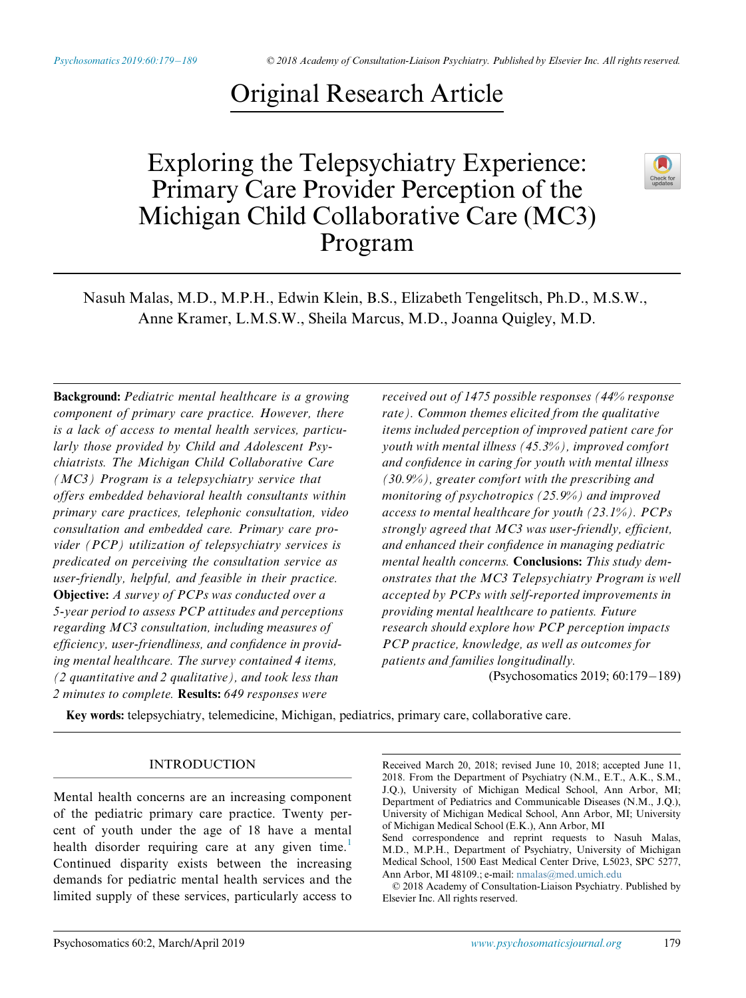# Original Research Article

## Exploring the Telepsychiatry Experience: Primary Care Provider Perception of the Michigan Child Collaborative Care (MC3) Program



Nasuh Malas, M.D., M.P.H., Edwin Klein, B.S., Elizabeth Tengelitsch, Ph.D., M.S.W., Anne Kramer, L.M.S.W., Sheila Marcus, M.D., Joanna Quigley, M.D.

Background: Pediatric mental healthcare is a growing component of primary care practice. However, there is a lack of access to mental health services, particularly those provided by Child and Adolescent Psychiatrists. The Michigan Child Collaborative Care (MC3) Program is a telepsychiatry service that offers embedded behavioral health consultants within primary care practices, telephonic consultation, video consultation and embedded care. Primary care provider (PCP) utilization of telepsychiatry services is predicated on perceiving the consultation service as user-friendly, helpful, and feasible in their practice. Objective: A survey of PCPs was conducted over a 5-year period to assess PCP attitudes and perceptions regarding MC3 consultation, including measures of efficiency, user-friendliness, and confidence in providing mental healthcare. The survey contained 4 items, (2 quantitative and 2 qualitative), and took less than 2 minutes to complete. Results: 649 responses were

received out of 1475 possible responses (44% response rate). Common themes elicited from the qualitative items included perception of improved patient care for youth with mental illness (45.3%), improved comfort and confidence in caring for youth with mental illness (30.9%), greater comfort with the prescribing and monitoring of psychotropics (25.9%) and improved access to mental healthcare for youth  $(23.1\%)$ . PCPs strongly agreed that MC3 was user-friendly, efficient, and enhanced their confidence in managing pediatric mental health concerns. Conclusions: This study demonstrates that the MC3 Telepsychiatry Program is well accepted by PCPs with self-reported improvements in providing mental healthcare to patients. Future research should explore how PCP perception impacts PCP practice, knowledge, as well as outcomes for patients and families longitudinally. (Psychosomatics 2019; 60:179-189)

Key words: telepsychiatry, telemedicine, Michigan, pediatrics, primary care, collaborative care.

#### INTRODUCTION

Mental health concerns are an increasing component of the pediatric primary care practice. Twenty percent of youth under the age of 18 have a mental health disorder requiring care at any given time.<sup>[1](#page-8-0)</sup> Continued disparity exists between the increasing demands for pediatric mental health services and the limited supply of these services, particularly access to

Received March 20, 2018; revised June 10, 2018; accepted June 11, 2018. From the Department of Psychiatry (N.M., E.T., A.K., S.M., J.Q.), University of Michigan Medical School, Ann Arbor, MI; Department of Pediatrics and Communicable Diseases (N.M., J.Q.), University of Michigan Medical School, Ann Arbor, MI; University of Michigan Medical School (E.K.), Ann Arbor, MI Send correspondence and reprint requests to Nasuh Malas,

© 2018 Academy of Consultation-Liaison Psychiatry. Published by Elsevier Inc. All rights reserved.

M.D., M.P.H., Department of Psychiatry, University of Michigan Medical School, 1500 East Medical Center Drive, L5023, SPC 5277, Ann Arbor, MI 48109.; e-mail: [nmalas@med.umich.edu](mailto:nmalas@med.umich.edu)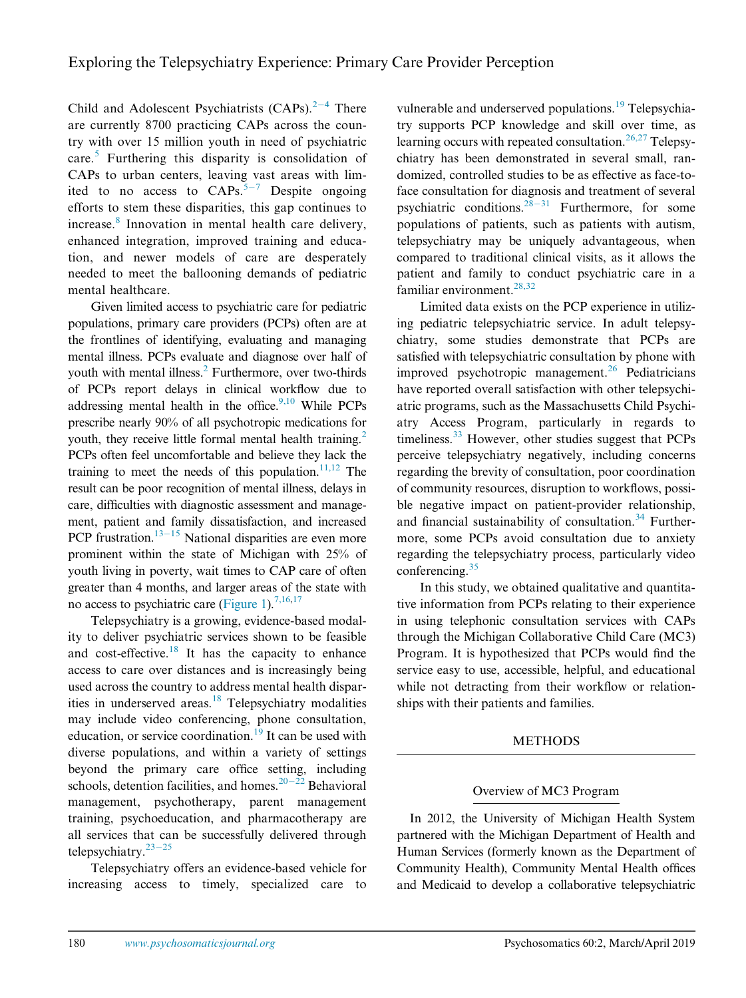Child and Adolescent Psychiatrists  $(CAPs).^{2-4}$  $(CAPs).^{2-4}$  $(CAPs).^{2-4}$  $(CAPs).^{2-4}$  $(CAPs).^{2-4}$  There are currently 8700 practicing CAPs across the country with over 15 million youth in need of psychiatric care.[5](#page-8-2) Furthering this disparity is consolidation of CAPs to urban centers, leaving vast areas with limited to no access to  $CAPs$ .<sup>[5](#page-8-2)-[7](#page-8-2)</sup> Despite ongoing efforts to stem these disparities, this gap continues to increase.<sup>[8](#page-8-3)</sup> Innovation in mental health care delivery, enhanced integration, improved training and education, and newer models of care are desperately needed to meet the ballooning demands of pediatric mental healthcare.

Given limited access to psychiatric care for pediatric populations, primary care providers (PCPs) often are at the frontlines of identifying, evaluating and managing mental illness. PCPs evaluate and diagnose over half of youth with mental illness.<sup>2</sup> Furthermore, over two-thirds of PCPs report delays in clinical workflow due to addressing mental health in the office. $9,10$  While PCPs prescribe nearly 90% of all psychotropic medications for youth, they receive little formal mental health training.<sup>[2](#page-8-1)</sup> PCPs often feel uncomfortable and believe they lack the training to meet the needs of this population.<sup>11,12</sup> The result can be poor recognition of mental illness, delays in care, difficulties with diagnostic assessment and management, patient and family dissatisfaction, and increased PCP frustration.<sup>13-[15](#page-9-0)</sup> National disparities are even more prominent within the state of Michigan with 25% of youth living in poverty, wait times to CAP care of often greater than 4 months, and larger areas of the state with no access to psychiatric care ([Figure 1](#page-2-0)).<sup>7,16,[17](#page-9-1)</sup>

Telepsychiatry is a growing, evidence-based modality to deliver psychiatric services shown to be feasible and cost-effective.<sup>[18](#page-9-2)</sup> It has the capacity to enhance access to care over distances and is increasingly being used across the country to address mental health dispar-ities in underserved areas.<sup>[18](#page-9-2)</sup> Telepsychiatry modalities may include video conferencing, phone consultation, education, or service coordination.<sup>[19](#page-9-3)</sup> It can be used with diverse populations, and within a variety of settings beyond the primary care office setting, including schools, detention facilities, and homes.<sup>20-[22](#page-9-4)</sup> Behavioral management, psychotherapy, parent management training, psychoeducation, and pharmacotherapy are all services that can be successfully delivered through telepsychiatry. $23-25$  $23-25$  $23-25$ 

Telepsychiatry offers an evidence-based vehicle for increasing access to timely, specialized care to

vulnerable and underserved populations.<sup>[19](#page-9-3)</sup> Telepsychiatry supports PCP knowledge and skill over time, as learning occurs with repeated consultation.<sup>[26,27](#page-9-6)</sup> Telepsychiatry has been demonstrated in several small, randomized, controlled studies to be as effective as face-toface consultation for diagnosis and treatment of several psychiatric conditions.<sup>28-[31](#page-9-7)</sup> Furthermore, for some populations of patients, such as patients with autism, telepsychiatry may be uniquely advantageous, when compared to traditional clinical visits, as it allows the patient and family to conduct psychiatric care in a familiar environment.<sup>[28,32](#page-9-7)</sup>

Limited data exists on the PCP experience in utilizing pediatric telepsychiatric service. In adult telepsychiatry, some studies demonstrate that PCPs are satisfied with telepsychiatric consultation by phone with improved psychotropic management.<sup>[26](#page-9-6)</sup> Pediatricians have reported overall satisfaction with other telepsychiatric programs, such as the Massachusetts Child Psychiatry Access Program, particularly in regards to timeliness. $33$  However, other studies suggest that PCPs perceive telepsychiatry negatively, including concerns regarding the brevity of consultation, poor coordination of community resources, disruption to workflows, possible negative impact on patient-provider relationship, and financial sustainability of consultation. $34$  Furthermore, some PCPs avoid consultation due to anxiety regarding the telepsychiatry process, particularly video conferencing. $35$ 

In this study, we obtained qualitative and quantitative information from PCPs relating to their experience in using telephonic consultation services with CAPs through the Michigan Collaborative Child Care (MC3) Program. It is hypothesized that PCPs would find the service easy to use, accessible, helpful, and educational while not detracting from their workflow or relationships with their patients and families.

### METHODS

### Overview of MC3 Program

In 2012, the University of Michigan Health System partnered with the Michigan Department of Health and Human Services (formerly known as the Department of Community Health), Community Mental Health offices and Medicaid to develop a collaborative telepsychiatric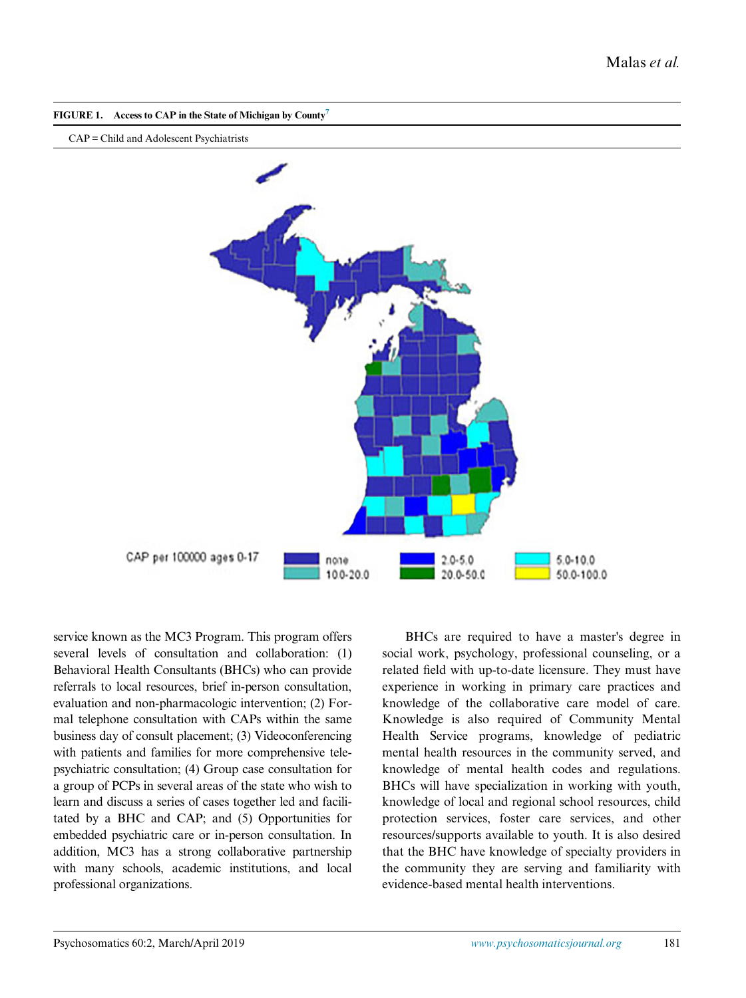<span id="page-2-0"></span>

CAP = Child and Adolescent Psychiatrists



service known as the MC3 Program. This program offers several levels of consultation and collaboration: (1) Behavioral Health Consultants (BHCs) who can provide referrals to local resources, brief in-person consultation, evaluation and non-pharmacologic intervention; (2) Formal telephone consultation with CAPs within the same business day of consult placement; (3) Videoconferencing with patients and families for more comprehensive telepsychiatric consultation; (4) Group case consultation for a group of PCPs in several areas of the state who wish to learn and discuss a series of cases together led and facilitated by a BHC and CAP; and (5) Opportunities for embedded psychiatric care or in-person consultation. In addition, MC3 has a strong collaborative partnership with many schools, academic institutions, and local professional organizations.

BHCs are required to have a master's degree in social work, psychology, professional counseling, or a related field with up-to-date licensure. They must have experience in working in primary care practices and knowledge of the collaborative care model of care. Knowledge is also required of Community Mental Health Service programs, knowledge of pediatric mental health resources in the community served, and knowledge of mental health codes and regulations. BHCs will have specialization in working with youth, knowledge of local and regional school resources, child protection services, foster care services, and other resources/supports available to youth. It is also desired that the BHC have knowledge of specialty providers in the community they are serving and familiarity with evidence-based mental health interventions.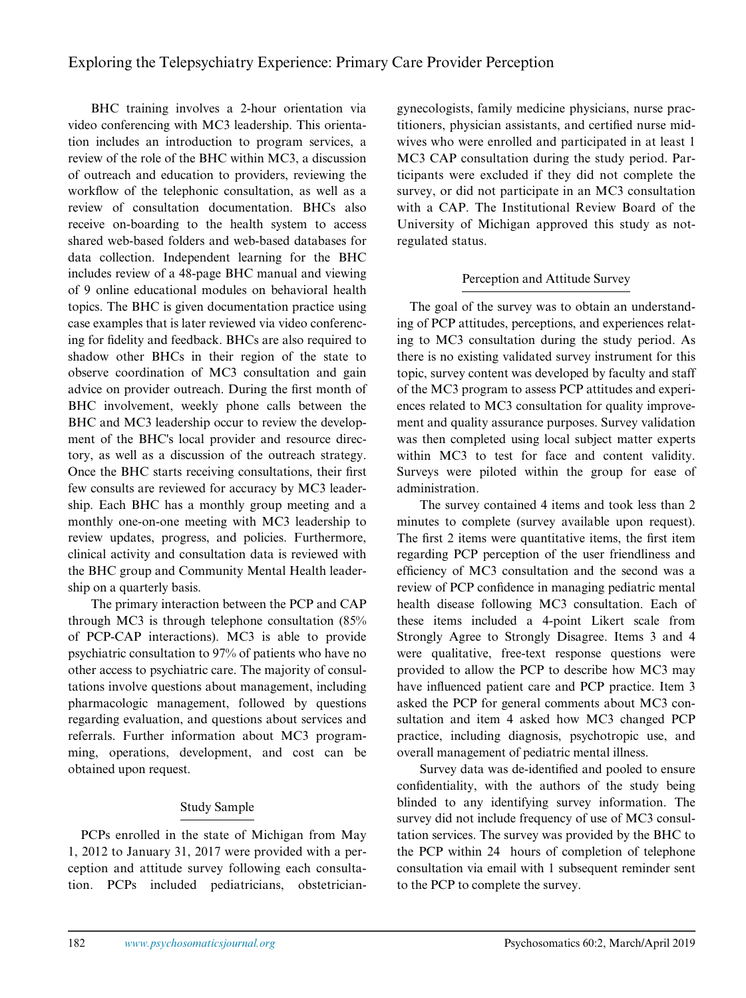## Exploring the Telepsychiatry Experience: Primary Care Provider Perception

BHC training involves a 2-hour orientation via video conferencing with MC3 leadership. This orientation includes an introduction to program services, a review of the role of the BHC within MC3, a discussion of outreach and education to providers, reviewing the workflow of the telephonic consultation, as well as a review of consultation documentation. BHCs also receive on-boarding to the health system to access shared web-based folders and web-based databases for data collection. Independent learning for the BHC includes review of a 48-page BHC manual and viewing of 9 online educational modules on behavioral health topics. The BHC is given documentation practice using case examples that is later reviewed via video conferencing for fidelity and feedback. BHCs are also required to shadow other BHCs in their region of the state to observe coordination of MC3 consultation and gain advice on provider outreach. During the first month of BHC involvement, weekly phone calls between the BHC and MC3 leadership occur to review the development of the BHC's local provider and resource directory, as well as a discussion of the outreach strategy. Once the BHC starts receiving consultations, their first few consults are reviewed for accuracy by MC3 leadership. Each BHC has a monthly group meeting and a monthly one-on-one meeting with MC3 leadership to review updates, progress, and policies. Furthermore, clinical activity and consultation data is reviewed with the BHC group and Community Mental Health leadership on a quarterly basis.

The primary interaction between the PCP and CAP through MC3 is through telephone consultation (85% of PCP-CAP interactions). MC3 is able to provide psychiatric consultation to 97% of patients who have no other access to psychiatric care. The majority of consultations involve questions about management, including pharmacologic management, followed by questions regarding evaluation, and questions about services and referrals. Further information about MC3 programming, operations, development, and cost can be obtained upon request.

## Study Sample

PCPs enrolled in the state of Michigan from May 1, 2012 to January 31, 2017 were provided with a perception and attitude survey following each consultation. PCPs included pediatricians, obstetriciangynecologists, family medicine physicians, nurse practitioners, physician assistants, and certified nurse midwives who were enrolled and participated in at least 1 MC3 CAP consultation during the study period. Participants were excluded if they did not complete the survey, or did not participate in an MC3 consultation with a CAP. The Institutional Review Board of the University of Michigan approved this study as notregulated status.

## Perception and Attitude Survey

The goal of the survey was to obtain an understanding of PCP attitudes, perceptions, and experiences relating to MC3 consultation during the study period. As there is no existing validated survey instrument for this topic, survey content was developed by faculty and staff of the MC3 program to assess PCP attitudes and experiences related to MC3 consultation for quality improvement and quality assurance purposes. Survey validation was then completed using local subject matter experts within MC3 to test for face and content validity. Surveys were piloted within the group for ease of administration.

The survey contained 4 items and took less than 2 minutes to complete (survey available upon request). The first 2 items were quantitative items, the first item regarding PCP perception of the user friendliness and efficiency of MC3 consultation and the second was a review of PCP confidence in managing pediatric mental health disease following MC3 consultation. Each of these items included a 4-point Likert scale from Strongly Agree to Strongly Disagree. Items 3 and 4 were qualitative, free-text response questions were provided to allow the PCP to describe how MC3 may have influenced patient care and PCP practice. Item 3 asked the PCP for general comments about MC3 consultation and item 4 asked how MC3 changed PCP practice, including diagnosis, psychotropic use, and overall management of pediatric mental illness.

Survey data was de-identified and pooled to ensure confidentiality, with the authors of the study being blinded to any identifying survey information. The survey did not include frequency of use of MC3 consultation services. The survey was provided by the BHC to the PCP within 24 hours of completion of telephone consultation via email with 1 subsequent reminder sent to the PCP to complete the survey.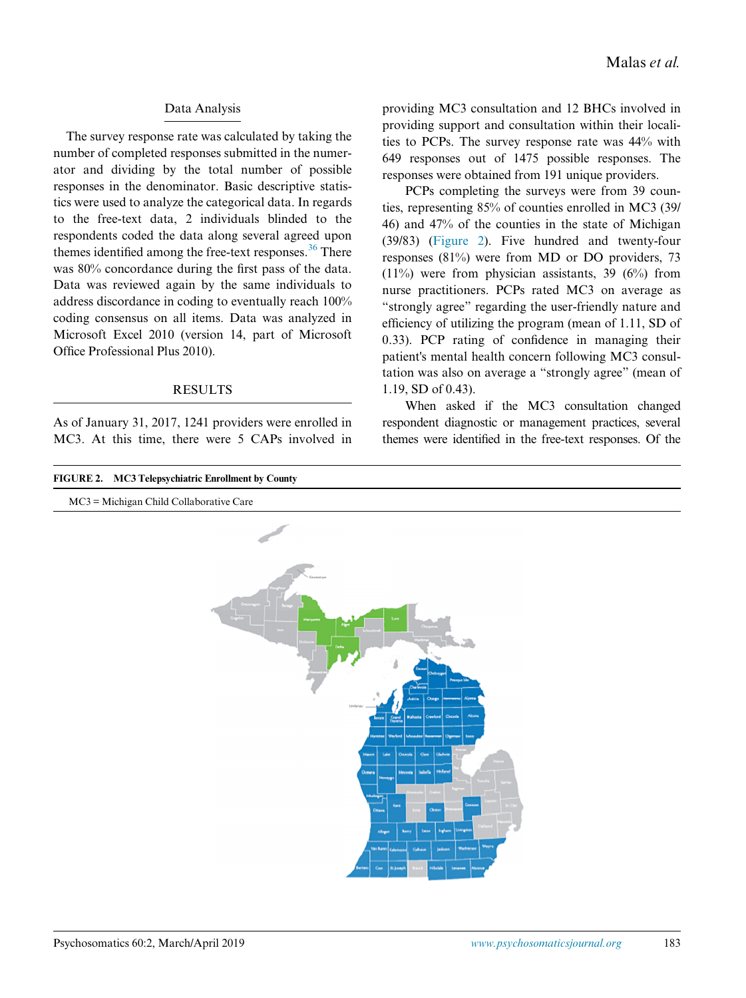#### Data Analysis

The survey response rate was calculated by taking the number of completed responses submitted in the numerator and dividing by the total number of possible responses in the denominator. Basic descriptive statistics were used to analyze the categorical data. In regards to the free-text data, 2 individuals blinded to the respondents coded the data along several agreed upon themes identified among the free-text responses. $36$  There was 80% concordance during the first pass of the data. Data was reviewed again by the same individuals to address discordance in coding to eventually reach 100% coding consensus on all items. Data was analyzed in Microsoft Excel 2010 (version 14, part of Microsoft Office Professional Plus 2010).

#### RESULTS

As of January 31, 2017, 1241 providers were enrolled in MC3. At this time, there were 5 CAPs involved in providing MC3 consultation and 12 BHCs involved in providing support and consultation within their localities to PCPs. The survey response rate was 44% with 649 responses out of 1475 possible responses. The responses were obtained from 191 unique providers.

PCPs completing the surveys were from 39 counties, representing 85% of counties enrolled in MC3 (39/ 46) and 47% of the counties in the state of Michigan (39/83) ([Figure 2\)](#page-4-0). Five hundred and twenty-four responses (81%) were from MD or DO providers, 73  $(11\%)$  were from physician assistants, 39 (6%) from nurse practitioners. PCPs rated MC3 on average as "strongly agree" regarding the user-friendly nature and efficiency of utilizing the program (mean of 1.11, SD of 0.33). PCP rating of confidence in managing their patient's mental health concern following MC3 consultation was also on average a "strongly agree" (mean of 1.19, SD of 0.43).

When asked if the MC3 consultation changed respondent diagnostic or management practices, several themes were identified in the free-text responses. Of the

<span id="page-4-0"></span>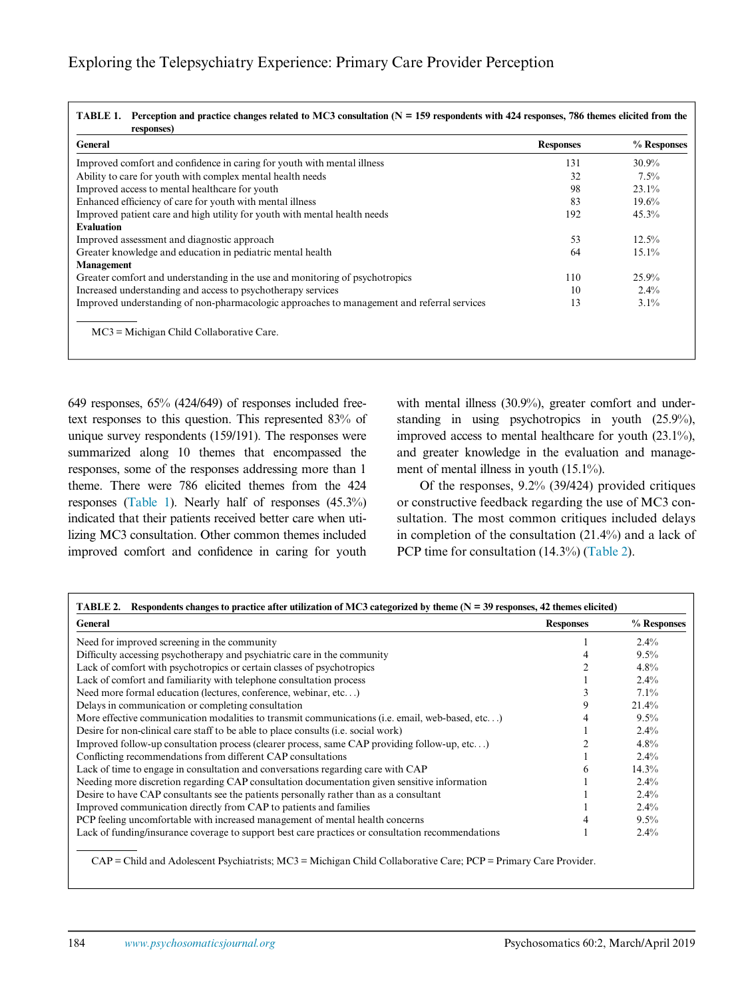<span id="page-5-0"></span>

| General                                                                                    | <b>Responses</b> | % Responses |
|--------------------------------------------------------------------------------------------|------------------|-------------|
| Improved comfort and confidence in caring for youth with mental illness                    | 131              | $30.9\%$    |
| Ability to care for youth with complex mental health needs                                 | 32               | $7.5\%$     |
| Improved access to mental healthcare for youth                                             | 98               | $23.1\%$    |
| Enhanced efficiency of care for youth with mental illness                                  | 83               | 19.6%       |
| Improved patient care and high utility for youth with mental health needs                  | 192              | 45.3%       |
| <b>Evaluation</b>                                                                          |                  |             |
| Improved assessment and diagnostic approach                                                | 53               | 12.5%       |
| Greater knowledge and education in pediatric mental health                                 | 64               | $15.1\%$    |
| <b>Management</b>                                                                          |                  |             |
| Greater comfort and understanding in the use and monitoring of psychotropics               | 110              | 25.9%       |
| Increased understanding and access to psychotherapy services                               | 10               | $2.4\%$     |
| Improved understanding of non-pharmacologic approaches to management and referral services | 13               | $3.1\%$     |
|                                                                                            |                  |             |
| $MC3$ = Michigan Child Collaborative Care.                                                 |                  |             |

649 responses, 65% (424/649) of responses included freetext responses to this question. This represented 83% of unique survey respondents (159/191). The responses were summarized along 10 themes that encompassed the responses, some of the responses addressing more than 1 theme. There were 786 elicited themes from the 424 responses [\(Table 1](#page-5-0)). Nearly half of responses (45.3%) indicated that their patients received better care when utilizing MC3 consultation. Other common themes included improved comfort and confidence in caring for youth

with mental illness (30.9%), greater comfort and understanding in using psychotropics in youth (25.9%), improved access to mental healthcare for youth (23.1%), and greater knowledge in the evaluation and management of mental illness in youth (15.1%).

Of the responses, 9.2% (39/424) provided critiques or constructive feedback regarding the use of MC3 consultation. The most common critiques included delays in completion of the consultation (21.4%) and a lack of PCP time for consultation (14.3%) ([Table 2](#page-5-1)).

<span id="page-5-1"></span>

| General                                                                                           | <b>Responses</b> | % Responses |
|---------------------------------------------------------------------------------------------------|------------------|-------------|
| Need for improved screening in the community                                                      |                  | $2.4\%$     |
| Difficulty accessing psychotherapy and psychiatric care in the community                          |                  | $9.5\%$     |
| Lack of comfort with psychotropics or certain classes of psychotropics                            |                  | 4.8%        |
| Lack of comfort and familiarity with telephone consultation process                               |                  | $2.4\%$     |
| Need more formal education (lectures, conference, webinar, etc)                                   |                  | $7.1\%$     |
| Delays in communication or completing consultation                                                | 9                | 21.4%       |
| More effective communication modalities to transmit communications (i.e. email, web-based, etc)   |                  | 9.5%        |
| Desire for non-clinical care staff to be able to place consults ( <i>i.e.</i> social work)        |                  | $2.4\%$     |
| Improved follow-up consultation process (clearer process, same CAP providing follow-up, etc)      |                  | 4.8%        |
| Conflicting recommendations from different CAP consultations                                      |                  | $2.4\%$     |
| Lack of time to engage in consultation and conversations regarding care with CAP                  |                  | $14.3\%$    |
| Needing more discretion regarding CAP consultation documentation given sensitive information      |                  | $2.4\%$     |
| Desire to have CAP consultants see the patients personally rather than as a consultant            |                  | $2.4\%$     |
| Improved communication directly from CAP to patients and families                                 |                  | $2.4\%$     |
| PCP feeling uncomfortable with increased management of mental health concerns                     |                  | $9.5\%$     |
| Lack of funding/insurance coverage to support best care practices or consultation recommendations |                  | $2.4\%$     |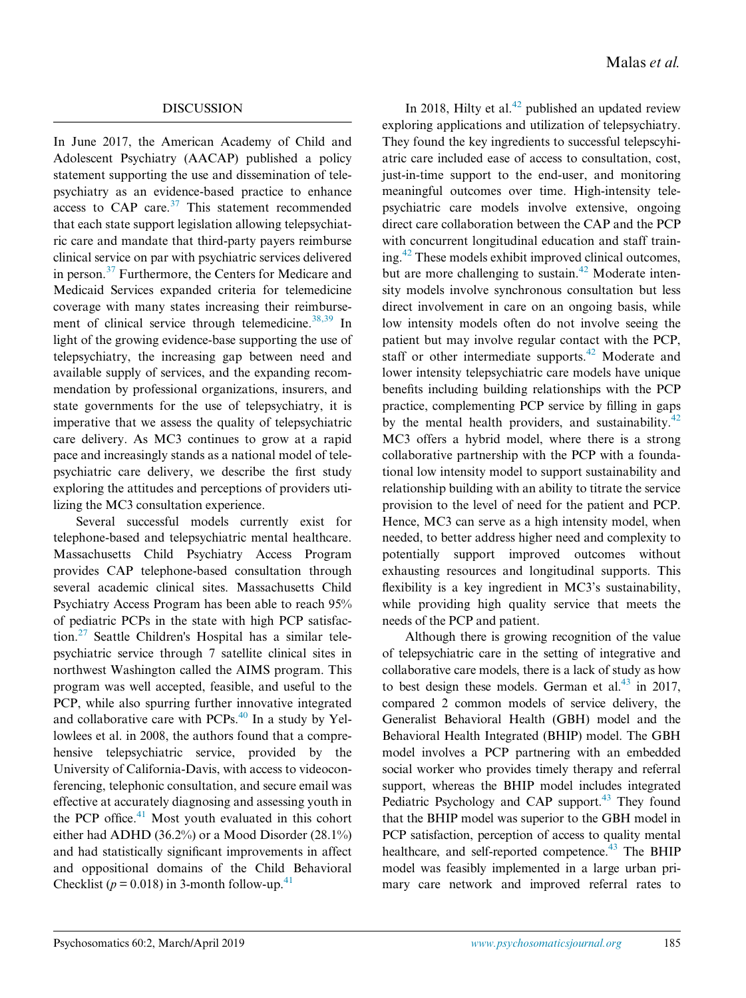In June 2017, the American Academy of Child and Adolescent Psychiatry (AACAP) published a policy statement supporting the use and dissemination of telepsychiatry as an evidence-based practice to enhance access to  $CAP$  care.<sup>[37](#page-9-12)</sup> This statement recommended that each state support legislation allowing telepsychiatric care and mandate that third-party payers reimburse clinical service on par with psychiatric services delivered in person.[37](#page-9-12) Furthermore, the Centers for Medicare and Medicaid Services expanded criteria for telemedicine coverage with many states increasing their reimburse-ment of clinical service through telemedicine.<sup>[38,39](#page-9-13)</sup> In light of the growing evidence-base supporting the use of telepsychiatry, the increasing gap between need and available supply of services, and the expanding recommendation by professional organizations, insurers, and state governments for the use of telepsychiatry, it is imperative that we assess the quality of telepsychiatric care delivery. As MC3 continues to grow at a rapid pace and increasingly stands as a national model of telepsychiatric care delivery, we describe the first study exploring the attitudes and perceptions of providers utilizing the MC3 consultation experience.

Several successful models currently exist for telephone-based and telepsychiatric mental healthcare. Massachusetts Child Psychiatry Access Program provides CAP telephone-based consultation through several academic clinical sites. Massachusetts Child Psychiatry Access Program has been able to reach 95% of pediatric PCPs in the state with high PCP satisfaction.[27](#page-9-14) Seattle Children's Hospital has a similar telepsychiatric service through 7 satellite clinical sites in northwest Washington called the AIMS program. This program was well accepted, feasible, and useful to the PCP, while also spurring further innovative integrated and collaborative care with PCPs. $40$  In a study by Yellowlees et al. in 2008, the authors found that a comprehensive telepsychiatric service, provided by the University of California-Davis, with access to videoconferencing, telephonic consultation, and secure email was effective at accurately diagnosing and assessing youth in the PCP office. $41$  Most youth evaluated in this cohort either had ADHD (36.2%) or a Mood Disorder (28.1%) and had statistically significant improvements in affect and oppositional domains of the Child Behavioral Checklist ( $p = 0.018$ ) in 3-month follow-up.<sup>[41](#page-9-16)</sup>

In 2018, Hilty et al. $42$  published an updated review exploring applications and utilization of telepsychiatry. They found the key ingredients to successful telepscyhiatric care included ease of access to consultation, cost, just-in-time support to the end-user, and monitoring meaningful outcomes over time. High-intensity telepsychiatric care models involve extensive, ongoing direct care collaboration between the CAP and the PCP with concurrent longitudinal education and staff train-ing.<sup>[42](#page-9-17)</sup> These models exhibit improved clinical outcomes, but are more challenging to sustain.<sup>[42](#page-9-17)</sup> Moderate intensity models involve synchronous consultation but less direct involvement in care on an ongoing basis, while low intensity models often do not involve seeing the patient but may involve regular contact with the PCP, staff or other intermediate supports.<sup>[42](#page-9-17)</sup> Moderate and lower intensity telepsychiatric care models have unique benefits including building relationships with the PCP practice, complementing PCP service by filling in gaps by the mental health providers, and sustainability. $42$ MC3 offers a hybrid model, where there is a strong collaborative partnership with the PCP with a foundational low intensity model to support sustainability and relationship building with an ability to titrate the service provision to the level of need for the patient and PCP. Hence, MC3 can serve as a high intensity model, when needed, to better address higher need and complexity to potentially support improved outcomes without exhausting resources and longitudinal supports. This flexibility is a key ingredient in MC3's sustainability, while providing high quality service that meets the needs of the PCP and patient.

Although there is growing recognition of the value of telepsychiatric care in the setting of integrative and collaborative care models, there is a lack of study as how to best design these models. German et al. $^{43}$  in 2017, compared 2 common models of service delivery, the Generalist Behavioral Health (GBH) model and the Behavioral Health Integrated (BHIP) model. The GBH model involves a PCP partnering with an embedded social worker who provides timely therapy and referral support, whereas the BHIP model includes integrated Pediatric Psychology and CAP support.<sup>43</sup> They found that the BHIP model was superior to the GBH model in PCP satisfaction, perception of access to quality mental healthcare, and self-reported competence.<sup>43</sup> The BHIP model was feasibly implemented in a large urban primary care network and improved referral rates to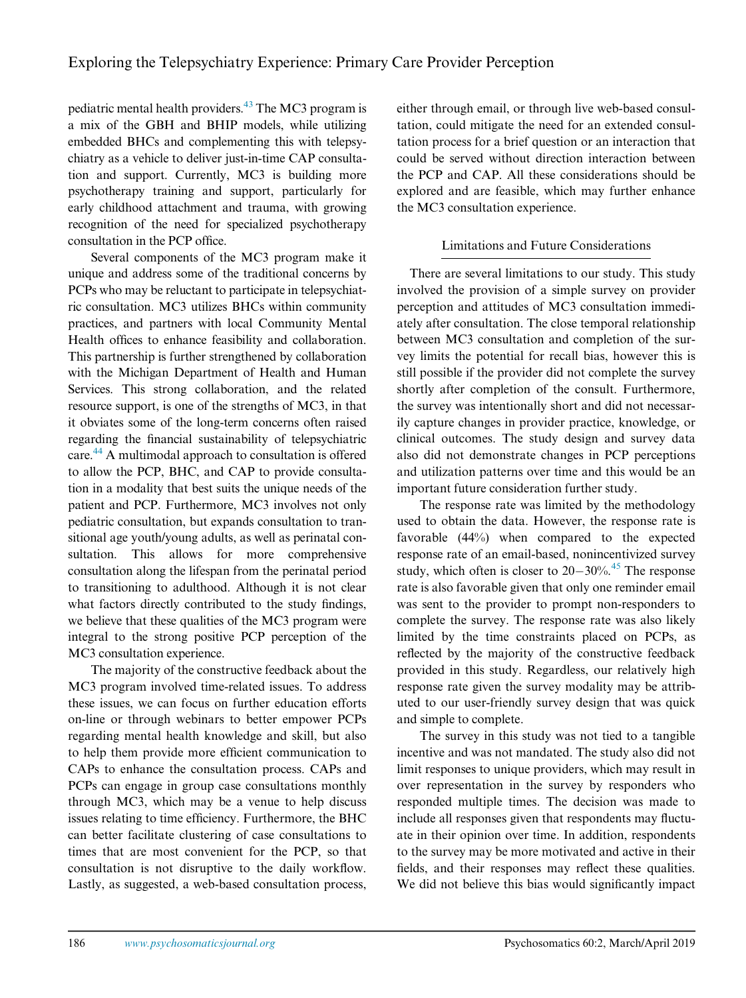pediatric mental health providers.<sup>43</sup> The MC3 program is a mix of the GBH and BHIP models, while utilizing embedded BHCs and complementing this with telepsychiatry as a vehicle to deliver just-in-time CAP consultation and support. Currently, MC3 is building more psychotherapy training and support, particularly for early childhood attachment and trauma, with growing recognition of the need for specialized psychotherapy consultation in the PCP office.

Several components of the MC3 program make it unique and address some of the traditional concerns by PCPs who may be reluctant to participate in telepsychiatric consultation. MC3 utilizes BHCs within community practices, and partners with local Community Mental Health offices to enhance feasibility and collaboration. This partnership is further strengthened by collaboration with the Michigan Department of Health and Human Services. This strong collaboration, and the related resource support, is one of the strengths of MC3, in that it obviates some of the long-term concerns often raised regarding the financial sustainability of telepsychiatric care.<sup>44</sup> A multimodal approach to consultation is offered to allow the PCP, BHC, and CAP to provide consultation in a modality that best suits the unique needs of the patient and PCP. Furthermore, MC3 involves not only pediatric consultation, but expands consultation to transitional age youth/young adults, as well as perinatal consultation. This allows for more comprehensive consultation along the lifespan from the perinatal period to transitioning to adulthood. Although it is not clear what factors directly contributed to the study findings, we believe that these qualities of the MC3 program were integral to the strong positive PCP perception of the MC3 consultation experience.

The majority of the constructive feedback about the MC3 program involved time-related issues. To address these issues, we can focus on further education efforts on-line or through webinars to better empower PCPs regarding mental health knowledge and skill, but also to help them provide more efficient communication to CAPs to enhance the consultation process. CAPs and PCPs can engage in group case consultations monthly through MC3, which may be a venue to help discuss issues relating to time efficiency. Furthermore, the BHC can better facilitate clustering of case consultations to times that are most convenient for the PCP, so that consultation is not disruptive to the daily workflow. Lastly, as suggested, a web-based consultation process, either through email, or through live web-based consultation, could mitigate the need for an extended consultation process for a brief question or an interaction that could be served without direction interaction between the PCP and CAP. All these considerations should be explored and are feasible, which may further enhance the MC3 consultation experience.

## Limitations and Future Considerations

There are several limitations to our study. This study involved the provision of a simple survey on provider perception and attitudes of MC3 consultation immediately after consultation. The close temporal relationship between MC3 consultation and completion of the survey limits the potential for recall bias, however this is still possible if the provider did not complete the survey shortly after completion of the consult. Furthermore, the survey was intentionally short and did not necessarily capture changes in provider practice, knowledge, or clinical outcomes. The study design and survey data also did not demonstrate changes in PCP perceptions and utilization patterns over time and this would be an important future consideration further study.

The response rate was limited by the methodology used to obtain the data. However, the response rate is favorable (44%) when compared to the expected response rate of an email-based, nonincentivized survey study, which often is closer to  $20-30\%$ .<sup>[45](#page-10-2)</sup> The response rate is also favorable given that only one reminder email was sent to the provider to prompt non-responders to complete the survey. The response rate was also likely limited by the time constraints placed on PCPs, as reflected by the majority of the constructive feedback provided in this study. Regardless, our relatively high response rate given the survey modality may be attributed to our user-friendly survey design that was quick and simple to complete.

The survey in this study was not tied to a tangible incentive and was not mandated. The study also did not limit responses to unique providers, which may result in over representation in the survey by responders who responded multiple times. The decision was made to include all responses given that respondents may fluctuate in their opinion over time. In addition, respondents to the survey may be more motivated and active in their fields, and their responses may reflect these qualities. We did not believe this bias would significantly impact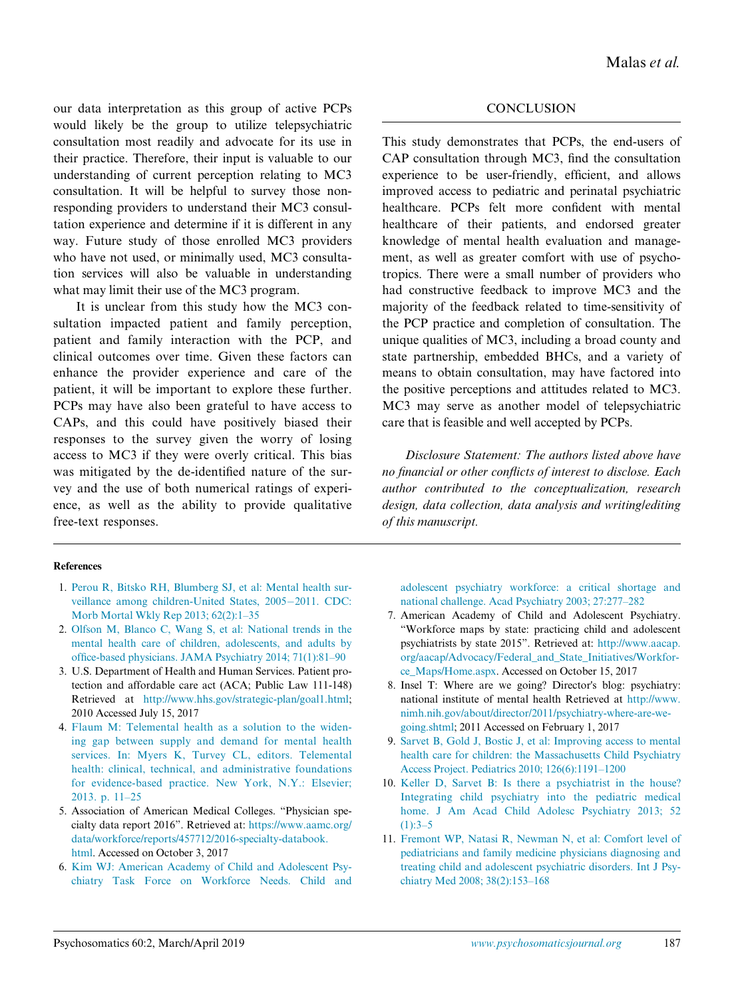our data interpretation as this group of active PCPs would likely be the group to utilize telepsychiatric consultation most readily and advocate for its use in their practice. Therefore, their input is valuable to our understanding of current perception relating to MC3 consultation. It will be helpful to survey those nonresponding providers to understand their MC3 consultation experience and determine if it is different in any way. Future study of those enrolled MC3 providers who have not used, or minimally used, MC3 consultation services will also be valuable in understanding what may limit their use of the MC3 program.

It is unclear from this study how the MC3 consultation impacted patient and family perception, patient and family interaction with the PCP, and clinical outcomes over time. Given these factors can enhance the provider experience and care of the patient, it will be important to explore these further. PCPs may have also been grateful to have access to CAPs, and this could have positively biased their responses to the survey given the worry of losing access to MC3 if they were overly critical. This bias was mitigated by the de-identified nature of the survey and the use of both numerical ratings of experience, as well as the ability to provide qualitative free-text responses.

#### <span id="page-8-0"></span>References

- 1. [Perou R, Bitsko RH, Blumberg SJ, et al: Mental health sur](http://refhub.elsevier.com/S0033-3182(18)30312-8/sbref0001)[veillance among children-United States, 2005](http://refhub.elsevier.com/S0033-3182(18)30312-8/sbref0001)-[2011. CDC:](http://refhub.elsevier.com/S0033-3182(18)30312-8/sbref0001) [Morb Mortal Wkly Rep 2013; 62\(2\):1](http://refhub.elsevier.com/S0033-3182(18)30312-8/sbref0001)–35
- <span id="page-8-6"></span><span id="page-8-1"></span>2. [Olfson M, Blanco C, Wang S, et al: National trends in the](http://refhub.elsevier.com/S0033-3182(18)30312-8/sbref0002) [mental health care of children, adolescents, and adults by](http://refhub.elsevier.com/S0033-3182(18)30312-8/sbref0002) offi[ce-based physicians. JAMA Psychiatry 2014; 71\(1\):81](http://refhub.elsevier.com/S0033-3182(18)30312-8/sbref0002)–90
- <span id="page-8-3"></span>3. U.S. Department of Health and Human Services. Patient protection and affordable care act (ACA; Public Law 111-148) Retrieved at [http://www.hhs.gov/strategic-plan/goal1.html;](http://www.hhs.gov/strategic-plan/goal1.html) 2010 Accessed July 15, 2017
- <span id="page-8-4"></span>4. [Flaum M: Telemental health as a solution to the widen](http://refhub.elsevier.com/S0033-3182(18)30312-8/sbref0004)[ing gap between supply and demand for mental health](http://refhub.elsevier.com/S0033-3182(18)30312-8/sbref0004) [services. In: Myers K, Turvey CL, editors. Telemental](http://refhub.elsevier.com/S0033-3182(18)30312-8/sbref0004) [health: clinical, technical, and administrative foundations](http://refhub.elsevier.com/S0033-3182(18)30312-8/sbref0004) [for evidence-based practice. New York, N.Y.: Elsevier;](http://refhub.elsevier.com/S0033-3182(18)30312-8/sbref0004) [2013. p. 11](http://refhub.elsevier.com/S0033-3182(18)30312-8/sbref0004)–25
- <span id="page-8-5"></span><span id="page-8-2"></span>5. Association of American Medical Colleges. "Physician specialty data report 2016". Retrieved at: [https://www.aamc.org/](https://www.aamc.org/data/workforce/reports/457712/2016-specialty-databook.html) [data/workforce/reports/457712/2016-specialty-databook.](https://www.aamc.org/data/workforce/reports/457712/2016-specialty-databook.html) [html.](https://www.aamc.org/data/workforce/reports/457712/2016-specialty-databook.html) Accessed on October 3, 2017
- 6. [Kim WJ: American Academy of Child and Adolescent Psy](http://refhub.elsevier.com/S0033-3182(18)30312-8/sbref0005)[chiatry Task Force on Workforce Needs. Child and](http://refhub.elsevier.com/S0033-3182(18)30312-8/sbref0005)

#### **CONCLUSION**

This study demonstrates that PCPs, the end-users of CAP consultation through MC3, find the consultation experience to be user-friendly, efficient, and allows improved access to pediatric and perinatal psychiatric healthcare. PCPs felt more confident with mental healthcare of their patients, and endorsed greater knowledge of mental health evaluation and management, as well as greater comfort with use of psychotropics. There were a small number of providers who had constructive feedback to improve MC3 and the majority of the feedback related to time-sensitivity of the PCP practice and completion of consultation. The unique qualities of MC3, including a broad county and state partnership, embedded BHCs, and a variety of means to obtain consultation, may have factored into the positive perceptions and attitudes related to MC3. MC3 may serve as another model of telepsychiatric care that is feasible and well accepted by PCPs.

Disclosure Statement: The authors listed above have no financial or other conflicts of interest to disclose. Each author contributed to the conceptualization, research design, data collection, data analysis and writing/editing of this manuscript.

[adolescent psychiatry workforce: a critical shortage and](http://refhub.elsevier.com/S0033-3182(18)30312-8/sbref0005) [national challenge. Acad Psychiatry 2003; 27:277](http://refhub.elsevier.com/S0033-3182(18)30312-8/sbref0005)–282

- 7. American Academy of Child and Adolescent Psychiatry. "Workforce maps by state: practicing child and adolescent psychiatrists by state 2015". Retrieved at: [http://www.aacap.](http://www.aacap.org/aacap/Advocacy/Federal_and_State_Initiatives/Workforce_Maps/Home.aspx) [org/aacap/Advocacy/Federal\\_and\\_State\\_Initiatives/Workfor](http://www.aacap.org/aacap/Advocacy/Federal_and_State_Initiatives/Workforce_Maps/Home.aspx)[ce\\_Maps/Home.aspx](http://www.aacap.org/aacap/Advocacy/Federal_and_State_Initiatives/Workforce_Maps/Home.aspx). Accessed on October 15, 2017
- 8. Insel T: Where are we going? Director's blog: psychiatry: national institute of mental health Retrieved at [http://www.](http://www.nimh.nih.gov/about/director/2011/psychiatry-where-are-we-going.shtml) [nimh.nih.gov/about/director/2011/psychiatry-where-are-we](http://www.nimh.nih.gov/about/director/2011/psychiatry-where-are-we-going.shtml)[going.shtml](http://www.nimh.nih.gov/about/director/2011/psychiatry-where-are-we-going.shtml); 2011 Accessed on February 1, 2017
- 9. [Sarvet B, Gold J, Bostic J, et al: Improving access to mental](http://refhub.elsevier.com/S0033-3182(18)30312-8/sbref0007) [health care for children: the Massachusetts Child Psychiatry](http://refhub.elsevier.com/S0033-3182(18)30312-8/sbref0007) [Access Project. Pediatrics 2010; 126\(6\):1191](http://refhub.elsevier.com/S0033-3182(18)30312-8/sbref0007)–1200
- 10. [Keller D, Sarvet B: Is there a psychiatrist in the house?](http://refhub.elsevier.com/S0033-3182(18)30312-8/sbref0008) [Integrating child psychiatry](http://refhub.elsevier.com/S0033-3182(18)30312-8/sbref0008) into the pediatric medical [home. J Am Acad Child Adolesc Psychiatry 2013; 52](http://refhub.elsevier.com/S0033-3182(18)30312-8/sbref0008)  $(1):3-5$  $(1):3-5$
- 11. [Fremont WP, Natasi R, Newman N, et al: Comfort level of](http://refhub.elsevier.com/S0033-3182(18)30312-8/sbref0009) [pediatricians and family medicine physicians diagnosing and](http://refhub.elsevier.com/S0033-3182(18)30312-8/sbref0009) [treating child and adolescent psychiatric disorders. Int J Psy](http://refhub.elsevier.com/S0033-3182(18)30312-8/sbref0009)[chiatry Med 2008; 38\(2\):153](http://refhub.elsevier.com/S0033-3182(18)30312-8/sbref0009)–168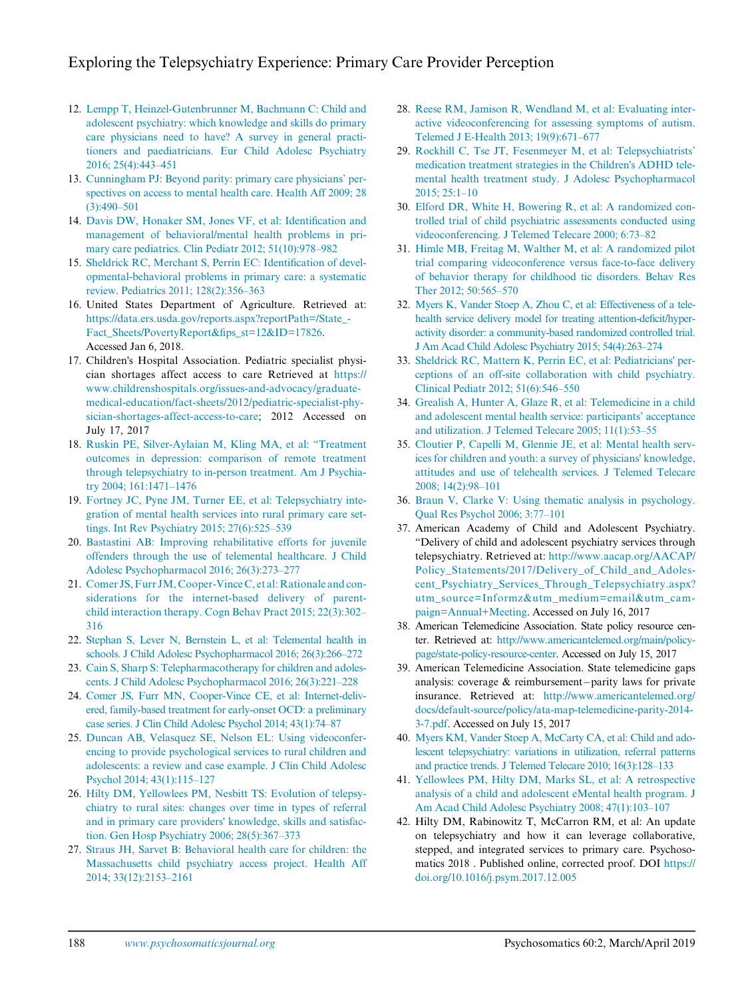- <span id="page-9-7"></span>12. [Lempp T, Heinzel-Gutenbrunner M, Bachmann C: Child and](http://refhub.elsevier.com/S0033-3182(18)30312-8/sbref0010) [adolescent psychiatry: which knowledge and skills do primary](http://refhub.elsevier.com/S0033-3182(18)30312-8/sbref0010) [care physicians need to have? A survey in general practi](http://refhub.elsevier.com/S0033-3182(18)30312-8/sbref0010)[tioners and paediatricians. Eur Child Adolesc Psychiatry](http://refhub.elsevier.com/S0033-3182(18)30312-8/sbref0010) [2016; 25\(4\):443](http://refhub.elsevier.com/S0033-3182(18)30312-8/sbref0010)–451
- <span id="page-9-0"></span>13. [Cunningham PJ: Beyond parity: primary care physicians](http://refhub.elsevier.com/S0033-3182(18)30312-8/sbref0011)' per[spectives on access to mental health care. Health Aff 2009; 28](http://refhub.elsevier.com/S0033-3182(18)30312-8/sbref0011) [\(3\):490](http://refhub.elsevier.com/S0033-3182(18)30312-8/sbref0011)–501
- 14. [Davis DW, Honaker SM, Jones VF, et al: Identi](http://refhub.elsevier.com/S0033-3182(18)30312-8/sbref0012)fication and [management of behavioral/mental health problems in pri](http://refhub.elsevier.com/S0033-3182(18)30312-8/sbref0012)[mary care pediatrics. Clin Pediatr 2012; 51\(10\):978](http://refhub.elsevier.com/S0033-3182(18)30312-8/sbref0012)–982
- 15. [Sheldrick RC, Merchant S, Perrin EC: Identi](http://refhub.elsevier.com/S0033-3182(18)30312-8/sbref0013)fication of devel[opmental-behavioral problems in primary care: a systematic](http://refhub.elsevier.com/S0033-3182(18)30312-8/sbref0013) [review. Pediatrics 2011; 128\(2\):356](http://refhub.elsevier.com/S0033-3182(18)30312-8/sbref0013)–363
- 16. United States Department of Agriculture. Retrieved at: [https://data.ers.usda.gov/reports.aspx?reportPath=/State\\_-](https://data.ers.usda.gov/reports.aspx?reportPath=/State_Fact_Sheets/PovertyReport&fips_st=12&ID=17826) [Fact\\_Sheets/PovertyReport&](https://data.ers.usda.gov/reports.aspx?reportPath=/State_Fact_Sheets/PovertyReport&fips_st=12&ID=17826)fips\_st=12&ID=17826. Accessed Jan 6, 2018.
- <span id="page-9-9"></span><span id="page-9-8"></span><span id="page-9-1"></span>17. Children's Hospital Association. Pediatric specialist physician shortages affect access to care Retrieved at [https://](https://www.childrenshospitals.org/issues-and-advocacy/graduate-medical-education/fact-sheets/2012/pediatric-specialist-physician-shortages-affect-access-to-care) [www.childrenshospitals.org/issues-and-advocacy/graduate](https://www.childrenshospitals.org/issues-and-advocacy/graduate-medical-education/fact-sheets/2012/pediatric-specialist-physician-shortages-affect-access-to-care)[medical-education/fact-sheets/2012/pediatric-specialist-phy](https://www.childrenshospitals.org/issues-and-advocacy/graduate-medical-education/fact-sheets/2012/pediatric-specialist-physician-shortages-affect-access-to-care)[sician-shortages-affect-access-to-care;](https://www.childrenshospitals.org/issues-and-advocacy/graduate-medical-education/fact-sheets/2012/pediatric-specialist-physician-shortages-affect-access-to-care) 2012 Accessed on July 17, 2017
- <span id="page-9-10"></span><span id="page-9-2"></span>18. [Ruskin PE, Silver-Aylaian M, Kling MA, et al:](http://refhub.elsevier.com/S0033-3182(18)30312-8/sbref0015) "Treatment [outcomes in depression: comparison of remote treatment](http://refhub.elsevier.com/S0033-3182(18)30312-8/sbref0015) [through telepsychiatry to in-person treatment. Am J Psychia](http://refhub.elsevier.com/S0033-3182(18)30312-8/sbref0015)[try 2004; 161:1471](http://refhub.elsevier.com/S0033-3182(18)30312-8/sbref0015)–1476
- <span id="page-9-11"></span><span id="page-9-3"></span>19. [Fortney JC, Pyne JM, Turner EE, et al: Telepsychiatry inte](http://refhub.elsevier.com/S0033-3182(18)30312-8/sbref0016)[gration of mental health services into rural primary care set](http://refhub.elsevier.com/S0033-3182(18)30312-8/sbref0016)[tings. Int Rev Psychiatry 2015; 27\(6\):525](http://refhub.elsevier.com/S0033-3182(18)30312-8/sbref0016)–539
- <span id="page-9-12"></span><span id="page-9-4"></span>20. [Bastastini AB: Improving rehabilitative efforts for juvenile](http://refhub.elsevier.com/S0033-3182(18)30312-8/sbref0017) [offenders through the use of telemental healthcare. J Child](http://refhub.elsevier.com/S0033-3182(18)30312-8/sbref0017) [Adolesc Psychopharmacol 2016; 26\(3\):273](http://refhub.elsevier.com/S0033-3182(18)30312-8/sbref0017)–277
- 21. [Comer JS, Furr JM, Cooper-Vince C, et al: Rationale and con](http://refhub.elsevier.com/S0033-3182(18)30312-8/sbref0018)[siderations for the internet-based delivery of parent](http://refhub.elsevier.com/S0033-3182(18)30312-8/sbref0018)[child interaction therapy. Cogn Behav Pract 2015; 22\(3\):302](http://refhub.elsevier.com/S0033-3182(18)30312-8/sbref0018)– [316](http://refhub.elsevier.com/S0033-3182(18)30312-8/sbref0018)
- <span id="page-9-13"></span>22. [Stephan S, Lever N, Bernstein L, et al: Telemental health in](http://refhub.elsevier.com/S0033-3182(18)30312-8/sbref0019) [schools. J Child Adolesc Psychopharmacol 2016; 26\(3\):266](http://refhub.elsevier.com/S0033-3182(18)30312-8/sbref0019)–272
- <span id="page-9-5"></span>23. [Cain S, Sharp S: Telepharmacotherapy for children and adoles](http://refhub.elsevier.com/S0033-3182(18)30312-8/sbref0020)[cents. J Child Adolesc Psychopharmacol 2016; 26\(3\):221](http://refhub.elsevier.com/S0033-3182(18)30312-8/sbref0020)–228
- 24. [Comer JS, Furr MN, Cooper-Vince CE, et al: Internet-deliv](http://refhub.elsevier.com/S0033-3182(18)30312-8/sbref0021)[ered, family-based treatment for early-onset OCD: a preliminary](http://refhub.elsevier.com/S0033-3182(18)30312-8/sbref0021) [case series. J Clin Child Adolesc Psychol 2014; 43\(1\):74](http://refhub.elsevier.com/S0033-3182(18)30312-8/sbref0021)–87
- <span id="page-9-15"></span>25. [Duncan AB, Velasquez SE, Nelson EL: Using videoconfer](http://refhub.elsevier.com/S0033-3182(18)30312-8/sbref0022)[encing to provide psychological services to rural children and](http://refhub.elsevier.com/S0033-3182(18)30312-8/sbref0022) [adolescents: a review and case example. J Clin Child Adolesc](http://refhub.elsevier.com/S0033-3182(18)30312-8/sbref0022) [Psychol 2014; 43\(1\):115](http://refhub.elsevier.com/S0033-3182(18)30312-8/sbref0022)–127
- <span id="page-9-17"></span><span id="page-9-16"></span><span id="page-9-6"></span>26. [Hilty DM, Yellowlees PM, Nesbitt TS: Evolution of telepsy](http://refhub.elsevier.com/S0033-3182(18)30312-8/sbref0023)[chiatry to rural sites: changes over time in types of referral](http://refhub.elsevier.com/S0033-3182(18)30312-8/sbref0023) [and in primary care providers' knowledge, skills and satisfac](http://refhub.elsevier.com/S0033-3182(18)30312-8/sbref0023)[tion. Gen Hosp Psychiatry 2006; 28\(5\):367](http://refhub.elsevier.com/S0033-3182(18)30312-8/sbref0023)–373
- <span id="page-9-14"></span>27. [Straus JH, Sarvet B: Behavioral health care for children: the](http://refhub.elsevier.com/S0033-3182(18)30312-8/sbref0024) [Massachusetts child psychiatry access project. Health Aff](http://refhub.elsevier.com/S0033-3182(18)30312-8/sbref0024) [2014; 33\(12\):2153](http://refhub.elsevier.com/S0033-3182(18)30312-8/sbref0024)–2161
- 28. [Reese RM, Jamison R, Wendland M, et al: Evaluating inter](http://refhub.elsevier.com/S0033-3182(18)30312-8/sbref0025)[active videoconferencing for assessing symptoms of autism.](http://refhub.elsevier.com/S0033-3182(18)30312-8/sbref0025) [Telemed J E-Health 2013; 19\(9\):671](http://refhub.elsevier.com/S0033-3182(18)30312-8/sbref0025)–677
- 29. [Rockhill C, Tse JT, Fesenmeyer M, et al: Telepsychiatrists](http://refhub.elsevier.com/S0033-3182(18)30312-8/sbref0026)' [medication treatment strategies in the Children's ADHD tele](http://refhub.elsevier.com/S0033-3182(18)30312-8/sbref0026)[mental health treatment study. J Adolesc Psychopharmacol](http://refhub.elsevier.com/S0033-3182(18)30312-8/sbref0026) [2015; 25:1](http://refhub.elsevier.com/S0033-3182(18)30312-8/sbref0026)–10
- 30. [Elford DR, White H, Bowering R, et al: A randomized con](http://refhub.elsevier.com/S0033-3182(18)30312-8/sbref0027)[trolled trial of child psychiatric assessments conducted using](http://refhub.elsevier.com/S0033-3182(18)30312-8/sbref0027) [videoconferencing. J Telemed Telecare 2000; 6:73](http://refhub.elsevier.com/S0033-3182(18)30312-8/sbref0027)–82
- 31. [Himle MB, Freitag M, Walther M, et al: A randomized pilot](http://refhub.elsevier.com/S0033-3182(18)30312-8/sbref0028) [trial comparing videoconference versus face-to-face delivery](http://refhub.elsevier.com/S0033-3182(18)30312-8/sbref0028) [of behavior therapy for childhood tic disorders. Behav Res](http://refhub.elsevier.com/S0033-3182(18)30312-8/sbref0028) [Ther 2012; 50:565](http://refhub.elsevier.com/S0033-3182(18)30312-8/sbref0028)–570
- 32. [Myers K, Vander Stoep A, Zhou C, et al: Effectiveness of a tele](http://refhub.elsevier.com/S0033-3182(18)30312-8/sbref0029)[health service delivery model for treating attention-de](http://refhub.elsevier.com/S0033-3182(18)30312-8/sbref0029)ficit/hyper[activity disorder: a community-based randomized controlled trial.](http://refhub.elsevier.com/S0033-3182(18)30312-8/sbref0029) [J Am Acad Child Adolesc Psychiatry 2015; 54\(4\):263](http://refhub.elsevier.com/S0033-3182(18)30312-8/sbref0029)–274
- 33. [Sheldrick RC, Mattern K, Perrin EC, et al: Pediatricians' per](http://refhub.elsevier.com/S0033-3182(18)30312-8/sbref0030)[ceptions of an off-site collaboration with child psychiatry.](http://refhub.elsevier.com/S0033-3182(18)30312-8/sbref0030) [Clinical Pediatr 2012; 51\(6\):546](http://refhub.elsevier.com/S0033-3182(18)30312-8/sbref0030)–550
- 34. [Grealish A, Hunter A, Glaze R, et al: Telemedicine in a child](http://refhub.elsevier.com/S0033-3182(18)30312-8/sbref0031) [and adolescent mental health service: participants](http://refhub.elsevier.com/S0033-3182(18)30312-8/sbref0031)' acceptance [and utilization. J Telemed Telecare 2005; 11\(1\):53](http://refhub.elsevier.com/S0033-3182(18)30312-8/sbref0031)–55
- 35. [Cloutier P, Capelli M, Glennie JE, et al: Mental health serv](http://refhub.elsevier.com/S0033-3182(18)30312-8/sbref0032)[ices for children and youth: a survey of physicians' knowledge,](http://refhub.elsevier.com/S0033-3182(18)30312-8/sbref0032) [attitudes and use of telehealth services. J Telemed Telecare](http://refhub.elsevier.com/S0033-3182(18)30312-8/sbref0032) [2008; 14\(2\):98](http://refhub.elsevier.com/S0033-3182(18)30312-8/sbref0032)–101
- 36. [Braun V, Clarke V: Using thematic analysis in psychology.](http://refhub.elsevier.com/S0033-3182(18)30312-8/sbref0033) [Qual Res Psychol 2006; 3:77](http://refhub.elsevier.com/S0033-3182(18)30312-8/sbref0033)–101
- 37. American Academy of Child and Adolescent Psychiatry. "Delivery of child and adolescent psychiatry services through telepsychiatry. Retrieved at: [http://www.aacap.org/AACAP/](http://www.aacap.org/AACAP/Policy_Statements/2017/Delivery_of_Child_and_Adolescent_Psychiatry_Services_Through_Telepsychiatry.aspx?utm_source=Informz%26utm_medium=email%26utm_campaign=Annual+Meeting) [Policy\\_Statements/2017/Delivery\\_of\\_Child\\_and\\_Adoles](http://www.aacap.org/AACAP/Policy_Statements/2017/Delivery_of_Child_and_Adolescent_Psychiatry_Services_Through_Telepsychiatry.aspx?utm_source=Informz%26utm_medium=email%26utm_campaign=Annual+Meeting)[cent\\_Psychiatry\\_Services\\_Through\\_Telepsychiatry.aspx?](http://www.aacap.org/AACAP/Policy_Statements/2017/Delivery_of_Child_and_Adolescent_Psychiatry_Services_Through_Telepsychiatry.aspx?utm_source=Informz%26utm_medium=email%26utm_campaign=Annual+Meeting) [utm\\_source=Informz&utm\\_medium=email&utm\\_cam](http://www.aacap.org/AACAP/Policy_Statements/2017/Delivery_of_Child_and_Adolescent_Psychiatry_Services_Through_Telepsychiatry.aspx?utm_source=Informz%26utm_medium=email%26utm_campaign=Annual+Meeting)[paign=Annual+Meeting](http://www.aacap.org/AACAP/Policy_Statements/2017/Delivery_of_Child_and_Adolescent_Psychiatry_Services_Through_Telepsychiatry.aspx?utm_source=Informz%26utm_medium=email%26utm_campaign=Annual+Meeting). Accessed on July 16, 2017
- 38. American Telemedicine Association. State policy resource center. Retrieved at: [http://www.americantelemed.org/main/policy](http://www.americantelemed.org/main/policy-page/state-policy-resource-center)[page/state-policy-resource-center](http://www.americantelemed.org/main/policy-page/state-policy-resource-center). Accessed on July 15, 2017
- 39. American Telemedicine Association. State telemedicine gaps analysis: coverage  $&$  reimbursement-parity laws for private insurance. Retrieved at: [http://www.americantelemed.org/](http://www.americantelemed.org/docs/default-source/policy/ata-map-telemedicine-parity-2014-3-7.pdf) [docs/default-source/policy/ata-map-telemedicine-parity-2014-](http://www.americantelemed.org/docs/default-source/policy/ata-map-telemedicine-parity-2014-3-7.pdf) [3-7.pdf](http://www.americantelemed.org/docs/default-source/policy/ata-map-telemedicine-parity-2014-3-7.pdf). Accessed on July 15, 2017
- 40. [Myers KM, Vander Stoep A, McCarty CA, et al: Child and ado](http://refhub.elsevier.com/S0033-3182(18)30312-8/sbref0034)[lescent telepsychiatry: variations in utilization, referral patterns](http://refhub.elsevier.com/S0033-3182(18)30312-8/sbref0034) [and practice trends. J Telemed Telecare 2010; 16\(3\):128](http://refhub.elsevier.com/S0033-3182(18)30312-8/sbref0034)–133
- 41. [Yellowlees PM, Hilty DM, Marks SL, et al: A retrospective](http://refhub.elsevier.com/S0033-3182(18)30312-8/sbref0035) [analysis of a child and adolescent eMental health program. J](http://refhub.elsevier.com/S0033-3182(18)30312-8/sbref0035) [Am Acad Child Adolesc Psychiatry 2008; 47\(1\):103](http://refhub.elsevier.com/S0033-3182(18)30312-8/sbref0035)–107
- 42. Hilty DM, Rabinowitz T, McCarron RM, et al: An update on telepsychiatry and how it can leverage collaborative, stepped, and integrated services to primary care. Psychosomatics 2018 . Published online, corrected proof. DOI [https://](https://doi.org/10.1016/j.psym.2017.12.005) [doi.org/10.1016/j.psym.2017.12.005](https://doi.org/10.1016/j.psym.2017.12.005)